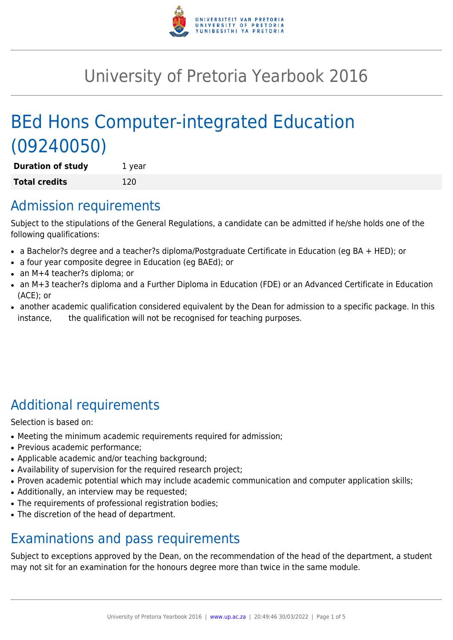

# University of Pretoria Yearbook 2016

# BEd Hons Computer-integrated Education (09240050)

**Duration of study** 1 year **Total credits** 120

# Admission requirements

Subject to the stipulations of the General Regulations, a candidate can be admitted if he/she holds one of the following qualifications:

- a Bachelor?s degree and a teacher?s diploma/Postgraduate Certificate in Education (eg BA + HED); or
- a four year composite degree in Education (eg BAEd); or
- an M+4 teacher?s diploma; or
- an M+3 teacher?s diploma and a Further Diploma in Education (FDE) or an Advanced Certificate in Education (ACE); or
- another academic qualification considered equivalent by the Dean for admission to a specific package. In this instance, the qualification will not be recognised for teaching purposes.

# Additional requirements

Selection is based on:

- Meeting the minimum academic requirements required for admission;
- Previous academic performance:
- Applicable academic and/or teaching background;
- Availability of supervision for the required research project;
- Proven academic potential which may include academic communication and computer application skills;
- Additionally, an interview may be requested;
- The requirements of professional registration bodies;
- The discretion of the head of department.

# Examinations and pass requirements

Subject to exceptions approved by the Dean, on the recommendation of the head of the department, a student may not sit for an examination for the honours degree more than twice in the same module.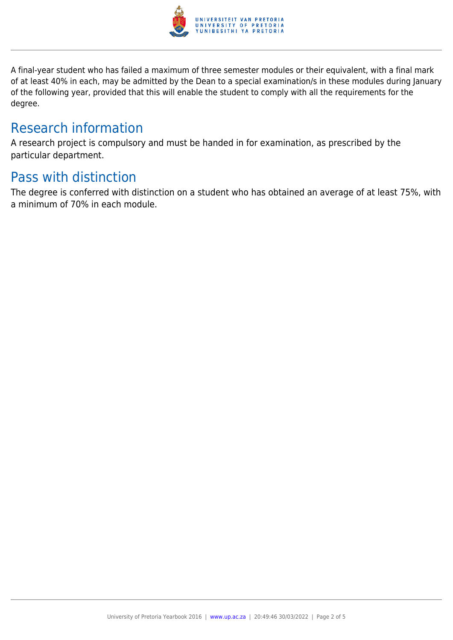

A final-year student who has failed a maximum of three semester modules or their equivalent, with a final mark of at least 40% in each, may be admitted by the Dean to a special examination/s in these modules during January of the following year, provided that this will enable the student to comply with all the requirements for the degree.

# Research information

A research project is compulsory and must be handed in for examination, as prescribed by the particular department.

# Pass with distinction

The degree is conferred with distinction on a student who has obtained an average of at least 75%, with a minimum of 70% in each module.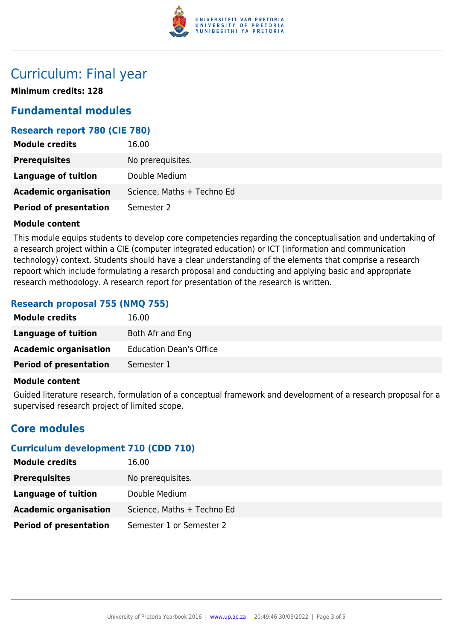

# Curriculum: Final year

**Minimum credits: 128**

# **Fundamental modules**

## **Research report 780 (CIE 780)**

| <b>Module credits</b>         | 16.00                      |
|-------------------------------|----------------------------|
| <b>Prerequisites</b>          | No prerequisites.          |
| Language of tuition           | Double Medium              |
| <b>Academic organisation</b>  | Science, Maths + Techno Ed |
| <b>Period of presentation</b> | Semester 2                 |

#### **Module content**

This module equips students to develop core competencies regarding the conceptualisation and undertaking of a research project within a CIE (computer integrated education) or ICT (information and communication technology) context. Students should have a clear understanding of the elements that comprise a research repoort which include formulating a resarch proposal and conducting and applying basic and appropriate research methodology. A research report for presentation of the research is written.

## **Research proposal 755 (NMQ 755)**

| <b>Module credits</b>         | 16.00                          |
|-------------------------------|--------------------------------|
| Language of tuition           | Both Afr and Eng               |
| <b>Academic organisation</b>  | <b>Education Dean's Office</b> |
| <b>Period of presentation</b> | Semester 1                     |
|                               |                                |

### **Module content**

Guided literature research, formulation of a conceptual framework and development of a research proposal for a supervised research project of limited scope.

# **Core modules**

# **Curriculum development 710 (CDD 710)**

| <b>Module credits</b>         | 16.00                      |
|-------------------------------|----------------------------|
| <b>Prerequisites</b>          | No prerequisites.          |
| Language of tuition           | Double Medium              |
| <b>Academic organisation</b>  | Science, Maths + Techno Ed |
| <b>Period of presentation</b> | Semester 1 or Semester 2   |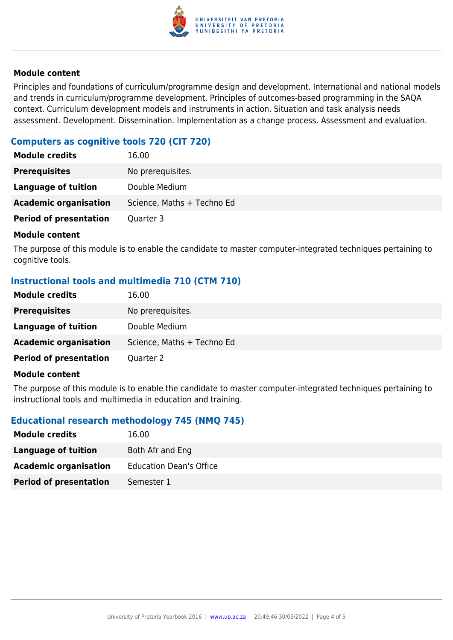

### **Module content**

Principles and foundations of curriculum/programme design and development. International and national models and trends in curriculum/programme development. Principles of outcomes-based programming in the SAQA context. Curriculum development models and instruments in action. Situation and task analysis needs assessment. Development. Dissemination. Implementation as a change process. Assessment and evaluation.

# **Computers as cognitive tools 720 (CIT 720)**

| <b>Module credits</b>         | 16.00                      |
|-------------------------------|----------------------------|
| <b>Prerequisites</b>          | No prerequisites.          |
| Language of tuition           | Double Medium              |
| <b>Academic organisation</b>  | Science, Maths + Techno Ed |
| <b>Period of presentation</b> | Quarter 3                  |

#### **Module content**

The purpose of this module is to enable the candidate to master computer-integrated techniques pertaining to cognitive tools.

# **Instructional tools and multimedia 710 (CTM 710)**

| <b>Module credits</b>         | 16.00                      |
|-------------------------------|----------------------------|
| <b>Prerequisites</b>          | No prerequisites.          |
| Language of tuition           | Double Medium              |
| <b>Academic organisation</b>  | Science, Maths + Techno Ed |
| <b>Period of presentation</b> | Quarter 2                  |

### **Module content**

The purpose of this module is to enable the candidate to master computer-integrated techniques pertaining to instructional tools and multimedia in education and training.

### **Educational research methodology 745 (NMQ 745)**

| <b>Module credits</b>         | 16.00                          |
|-------------------------------|--------------------------------|
| Language of tuition           | Both Afr and Eng               |
| <b>Academic organisation</b>  | <b>Education Dean's Office</b> |
| <b>Period of presentation</b> | Semester 1                     |